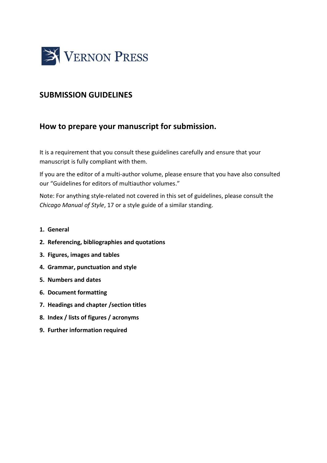

# **SUBMISSION GUIDELINES**

# **How to prepare your manuscript for submission.**

It is a requirement that you consult these guidelines carefully and ensure that your manuscript is fully compliant with them.

If you are the editor of a multi-author volume, please ensure that you have also consulted our "Guidelines for editors of multiauthor volumes."

Note: For anything style-related not covered in this set of guidelines, please consult the *Chicago Manual of Style*, 17 or a style guide of a similar standing.

- **1. General**
- **2. Referencing, bibliographies and quotations**
- **3. Figures, images and tables**
- **4. Grammar, punctuation and style**
- **5. Numbers and dates**
- **6. Document formatting**
- **7. Headings and chapter /section titles**
- **8. Index / lists of figures / acronyms**
- **9. Further information required**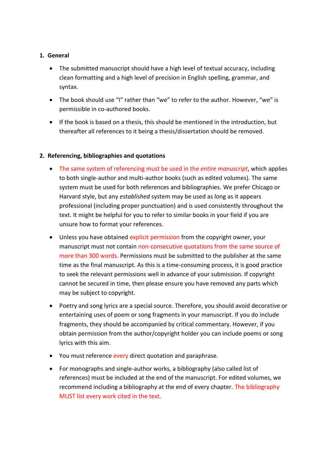### **1. General**

- The submitted manuscript should have a high level of textual accuracy, including clean formatting and a high level of precision in English spelling, grammar, and syntax.
- The book should use "I" rather than "we" to refer to the author. However, "we" is permissible in co-authored books.
- If the book is based on a thesis, this should be mentioned in the introduction, but thereafter all references to it being a thesis/dissertation should be removed.

## **2. Referencing, bibliographies and quotations**

- The same system of referencing must be used in the *entire manuscript*, which applies to both single-author and multi-author books (such as edited volumes). The same system must be used for both references and bibliographies. We prefer Chicago or Harvard style, but any *established* system may be used as long as it appears professional (including proper punctuation) and is used consistently throughout the text. It might be helpful for you to refer to similar books in your field if you are unsure how to format your references.
- Unless you have obtained explicit permission from the copyright owner, your manuscript must not contain non-consecutive quotations from the same source of more than 300 words. Permissions must be submitted to the publisher at the same time as the final manuscript. As this is a time-consuming process, it is good practice to seek the relevant permissions well in advance of your submission. If copyright cannot be secured in time, then please ensure you have removed any parts which may be subject to copyright.
- Poetry and song lyrics are a special source. Therefore, you should avoid decorative or entertaining uses of poem or song fragments in your manuscript. If you do include fragments, they should be accompanied by critical commentary. However, if you obtain permission from the author/copyright holder you can include poems or song lyrics with this aim.
- You must reference every direct quotation and paraphrase.
- For monographs and single-author works, a bibliography (also called list of references) must be included at the end of the manuscript. For edited volumes, we recommend including a bibliography at the end of every chapter. The bibliography MUST list every work cited in the text.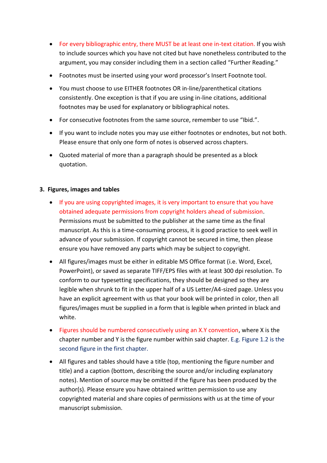- For every bibliographic entry, there MUST be at least one in-text citation. If you wish to include sources which you have not cited but have nonetheless contributed to the argument, you may consider including them in a section called "Further Reading."
- Footnotes must be inserted using your word processor's Insert Footnote tool.
- You must choose to use EITHER footnotes OR in-line/parenthetical citations consistently. One exception is that if you are using in-line citations, additional footnotes may be used for explanatory or bibliographical notes.
- For consecutive footnotes from the same source, remember to use "Ibid.".
- If you want to include notes you may use either footnotes or endnotes, but not both. Please ensure that only one form of notes is observed across chapters.
- Quoted material of more than a paragraph should be presented as a block quotation.

#### **3. Figures, images and tables**

- If you are using copyrighted images, it is very important to ensure that you have obtained adequate permissions from copyright holders ahead of submission. Permissions must be submitted to the publisher at the same time as the final manuscript. As this is a time-consuming process, it is good practice to seek well in advance of your submission. If copyright cannot be secured in time, then please ensure you have removed any parts which may be subject to copyright.
- All figures/images must be either in editable MS Office format (i.e. Word, Excel, PowerPoint), or saved as separate TIFF/EPS files with at least 300 dpi resolution. To conform to our typesetting specifications, they should be designed so they are legible when shrunk to fit in the upper half of a US Letter/A4-sized page. Unless you have an explicit agreement with us that your book will be printed in color, then all figures/images must be supplied in a form that is legible when printed in black and white.
- Figures should be numbered consecutively using an X.Y convention, where X is the chapter number and Y is the figure number within said chapter. E.g. Figure 1.2 is the second figure in the first chapter.
- All figures and tables should have a title (top, mentioning the figure number and title) and a caption (bottom, describing the source and/or including explanatory notes). Mention of source may be omitted if the figure has been produced by the author(s). Please ensure you have obtained written permission to use any copyrighted material and share copies of permissions with us at the time of your manuscript submission.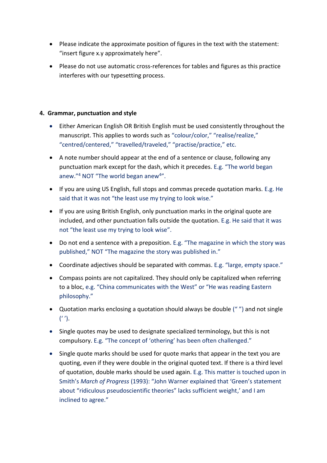- Please indicate the approximate position of figures in the text with the statement: "insert figure x.y approximately here".
- Please do not use automatic cross-references for tables and figures as this practice interferes with our typesetting process.

#### **4. Grammar, punctuation and style**

- Either American English OR British English must be used consistently throughout the manuscript. This applies to words such as "colour/color," "realise/realize," "centred/centered," "travelled/traveled," "practise/practice," etc.
- A note number should appear at the end of a sentence or clause, following any punctuation mark except for the dash, which it precedes. E.g. "The world began anew."<sup>4</sup> NOT "The world began anew<sup>4</sup>".
- If you are using US English, full stops and commas precede quotation marks. E.g. He said that it was not "the least use my trying to look wise."
- If you are using British English, only punctuation marks in the original quote are included, and other punctuation falls outside the quotation. E.g. He said that it was not "the least use my trying to look wise".
- Do not end a sentence with a preposition. E.g. "The magazine in which the story was published," NOT "The magazine the story was published in."
- Coordinate adjectives should be separated with commas. E.g. "large, empty space."
- Compass points are not capitalized. They should only be capitalized when referring to a bloc, e.g. "China communicates with the West" or "He was reading Eastern philosophy."
- Quotation marks enclosing a quotation should always be double (" ") and not single  $('')$ .
- Single quotes may be used to designate specialized terminology, but this is not compulsory. E.g. "The concept of 'othering' has been often challenged."
- Single quote marks should be used for quote marks that appear in the text you are quoting, even if they were double in the original quoted text. If there is a third level of quotation, double marks should be used again. E.g. This matter is touched upon in Smith's *March of Progress* (1993): "John Warner explained that 'Green's statement about "ridiculous pseudoscientific theories" lacks sufficient weight,' and I am inclined to agree."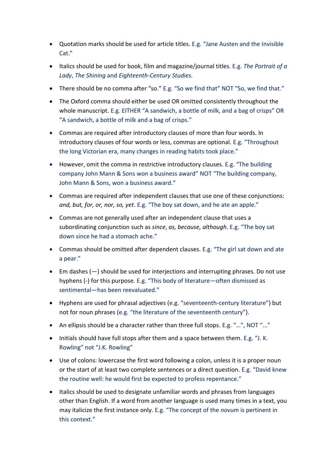- Quotation marks should be used for article titles. E.g. "Jane Austen and the Invisible Cat."
- Italics should be used for book, film and magazine/journal titles. E.g. *The Portrait of a Lady*, *The Shining* and *Eighteenth-Century Studies.*
- There should be no comma after "so." E.g. "So we find that" NOT "So, we find that."
- The Oxford comma should either be used OR omitted consistently throughout the whole manuscript. E.g. EITHER "A sandwich, a bottle of milk, and a bag of crisps" OR "A sandwich, a bottle of milk and a bag of crisps."
- Commas are required after introductory clauses of more than four words. In introductory clauses of four words or less, commas are optional. E.g. "Throughout the long Victorian era, many changes in reading habits took place."
- However, omit the comma in restrictive introductory clauses. E.g. "The building company John Mann & Sons won a business award" NOT "The building company, John Mann & Sons, won a business award."
- Commas are required after independent clauses that use one of these conjunctions: *and, but, for, or, nor, so, yet*. E.g. "The boy sat down, and he ate an apple."
- Commas are not generally used after an independent clause that uses a subordinating conjunction such as *since*, *as, because, although*. E.g. "The boy sat down since he had a stomach ache."
- Commas should be omitted after dependent clauses. E.g. "The girl sat down and ate a pear."
- Em dashes (—) should be used for interjections and interrupting phrases. Do not use hyphens (-) for this purpose. E.g. "This body of literature—often dismissed as sentimental—has been reevaluated."
- Hyphens are used for phrasal adjectives (e.g. "seventeenth-century literature") but not for noun phrases (e.g. "the literature of the seventeenth century").
- An ellipsis should be a character rather than three full stops. E.g. "...", NOT "..."
- Initials should have full stops after them and a space between them. E.g. "J. K. Rowling" not "J.K. Rowling"
- Use of colons: lowercase the first word following a colon, unless it is a proper noun or the start of at least two complete sentences or a direct question. E.g. "David knew the routine well: he would first be expected to profess repentance."
- Italics should be used to designate unfamiliar words and phrases from languages other than English. If a word from another language is used many times in a text, you may italicize the first instance only. E.g. "The concept of the *novum* is pertinent in this context."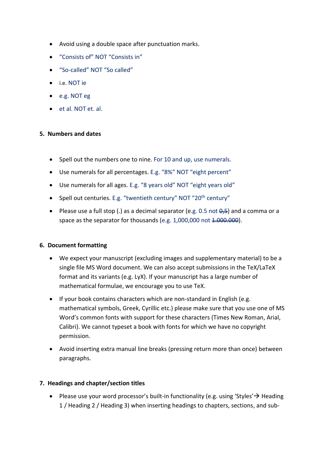- Avoid using a double space after punctuation marks.
- "Consists of" NOT "Consists in"
- "So-called" NOT "So called"
- i.e. NOT ie
- e.g. NOT eg
- et al. NOT et. al.

#### **5. Numbers and dates**

- Spell out the numbers one to nine. For 10 and up, use numerals.
- Use numerals for all percentages. E.g. "8%" NOT "eight percent"
- Use numerals for all ages. E.g. "8 years old" NOT "eight years old"
- Spell out centuries. E.g. "twentieth century" NOT "20<sup>th</sup> century"
- Please use a full stop (.) as a decimal separator (e.g. 0.5 not  $\theta$ ,  $\theta$ ) and a comma or a space as the separator for thousands (e.g. 1,000,000 not 4,000,000).

## **6. Document formatting**

- We expect your manuscript (excluding images and supplementary material) to be a single file MS Word document. We can also accept submissions in the TeX/LaTeX format and its variants (e.g. LyX). If your manuscript has a large number of mathematical formulae, we encourage you to use TeX.
- If your book contains characters which are non-standard in English (e.g. mathematical symbols, Greek, Cyrillic etc.) please make sure that you use one of MS Word's common fonts with support for these characters (Times New Roman, Arial, Calibri). We cannot typeset a book with fonts for which we have no copyright permission.
- Avoid inserting extra manual line breaks (pressing return more than once) between paragraphs.

## **7. Headings and chapter/section titles**

• Please use your word processor's built-in functionality (e.g. using 'Styles' → Heading 1 / Heading 2 / Heading 3) when inserting headings to chapters, sections, and sub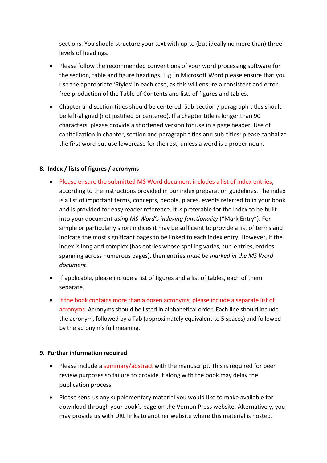sections. You should structure your text with up to (but ideally no more than) three levels of headings.

- Please follow the recommended conventions of your word processing software for the section, table and figure headings. E.g. in Microsoft Word please ensure that you use the appropriate 'Styles' in each case, as this will ensure a consistent and errorfree production of the Table of Contents and lists of figures and tables.
- Chapter and section titles should be centered. Sub-section / paragraph titles should be left-aligned (not justified or centered). If a chapter title is longer than 90 characters, please provide a shortened version for use in a page header. Use of capitalization in chapter, section and paragraph titles and sub-titles: please capitalize the first word but use lowercase for the rest, unless a word is a proper noun.

#### **8. Index / lists of figures / acronyms**

- Please ensure the submitted MS Word document includes a list of index entries, according to the instructions provided in our index preparation guidelines. The index is a list of important terms, concepts, people, places, events referred to in your book and is provided for easy reader reference. It is preferable for the index to be builtinto your document *using MS Word's indexing functionality* ("Mark Entry"). For simple or particularly short indices it may be sufficient to provide a list of terms and indicate the most significant pages to be linked to each index entry. However, if the index is long and complex (has entries whose spelling varies, sub-entries, entries spanning across numerous pages), then entries *must be marked in the MS Word document*.
- If applicable, please include a list of figures and a list of tables, each of them separate.
- If the book contains more than a dozen acronyms, please include a separate list of acronyms. Acronyms should be listed in alphabetical order. Each line should include the acronym, followed by a Tab (approximately equivalent to 5 spaces) and followed by the acronym's full meaning.

#### **9. Further information required**

- Please include a summary/abstract with the manuscript. This is required for peer review purposes so failure to provide it along with the book may delay the publication process.
- Please send us any supplementary material you would like to make available for download through your book's page on the Vernon Press website. Alternatively, you may provide us with URL links to another website where this material is hosted.